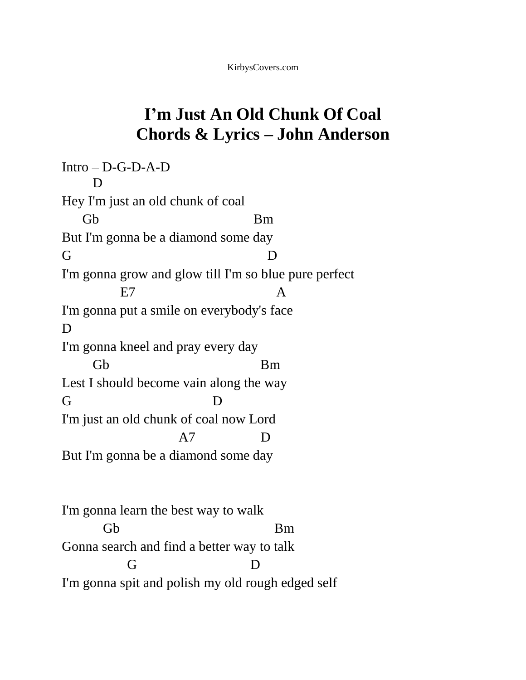## **I'm Just An Old Chunk Of Coal Chords & Lyrics – John Anderson**

Intro – D-G-D-A-D D Hey I'm just an old chunk of coal Gb Bm But I'm gonna be a diamond some day G D I'm gonna grow and glow till I'm so blue pure perfect E7 A I'm gonna put a smile on everybody's face D I'm gonna kneel and pray every day Gb Bm Lest I should become vain along the way G D I'm just an old chunk of coal now Lord A7 D But I'm gonna be a diamond some day I'm gonna learn the best way to walk Gb Bm Gonna search and find a better way to talk G D

I'm gonna spit and polish my old rough edged self